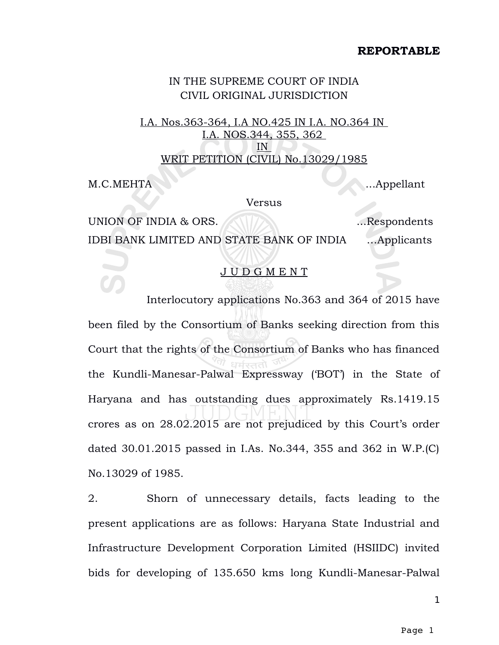## **REPORTABLE**

## IN THE SUPREME COURT OF INDIA CIVIL ORIGINAL JURISDICTION

I.A. Nos.363-364, I.A NO.425 IN I.A. NO.364 IN I.A. NOS.344, 355, 362 IN WRIT PETITION (CIVIL) No.13029/1985

M.C.MEHTA ...Appellant

Versus

UNION OF INDIA & ORS. AND THE MESS DESCRIPTION OF STRESS ORIGINAL SECTION AND THE MESS OF STRESS OF THE MESS O IDBI BANK LIMITED AND STATE BANK OF INDIA …Applicants

## J U D G M E N T

Interlocutory applications No.363 and 364 of 2015 have been filed by the Consortium of Banks seeking direction from this Court that the rights of the Consortium of Banks who has financed the Kundli-Manesar-Palwal Expressway ('BOT') in the State of Haryana and has outstanding dues approximately Rs.1419.15 crores as on 28.02.2015 are not prejudiced by this Court's order dated 30.01.2015 passed in I.As. No.344, 355 and 362 in W.P.(C) No.13029 of 1985.

2. Shorn of unnecessary details, facts leading to the present applications are as follows: Haryana State Industrial and Infrastructure Development Corporation Limited (HSIIDC) invited bids for developing of 135.650 kms long Kundli-Manesar-Palwal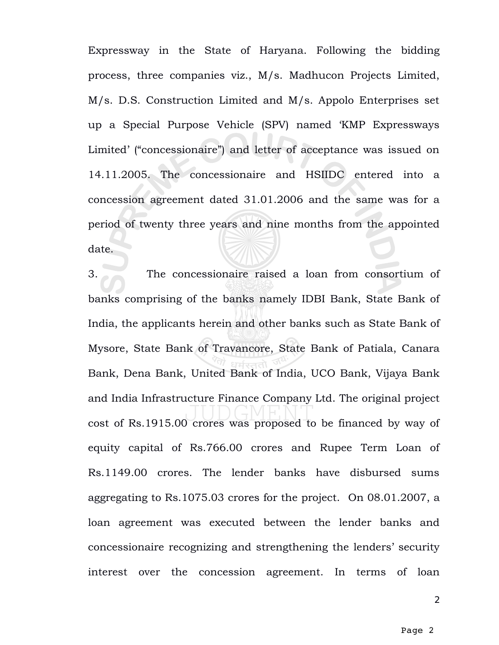Expressway in the State of Haryana. Following the bidding process, three companies viz., M/s. Madhucon Projects Limited, M/s. D.S. Construction Limited and M/s. Appolo Enterprises set up a Special Purpose Vehicle (SPV) named 'KMP Expressways Limited' ("concessionaire") and letter of acceptance was issued on 14.11.2005. The concessionaire and HSIIDC entered into a concession agreement dated 31.01.2006 and the same was for a period of twenty three years and nine months from the appointed date.

3. The concessionaire raised a loan from consortium of banks comprising of the banks namely IDBI Bank, State Bank of India, the applicants herein and other banks such as State Bank of Mysore, State Bank of Travancore, State Bank of Patiala, Canara Bank, Dena Bank, United Bank of India, UCO Bank, Vijaya Bank and India Infrastructure Finance Company Ltd. The original project cost of Rs.1915.00 crores was proposed to be financed by way of equity capital of Rs.766.00 crores and Rupee Term Loan of Rs.1149.00 crores. The lender banks have disbursed sums aggregating to Rs.1075.03 crores for the project. On 08.01.2007, a loan agreement was executed between the lender banks and concessionaire recognizing and strengthening the lenders' security interest over the concession agreement. In terms of loan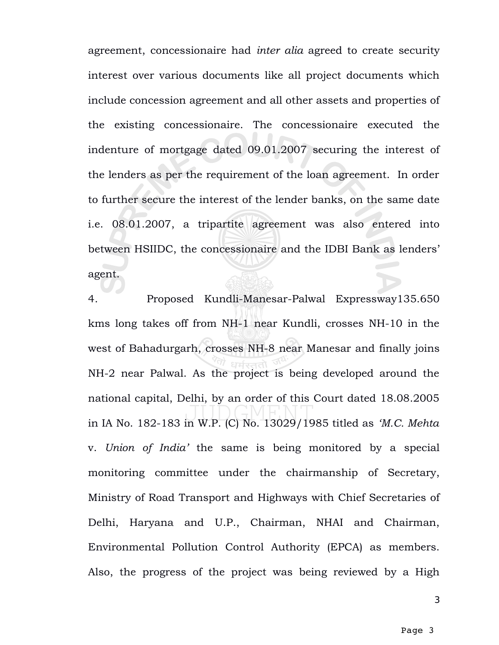agreement, concessionaire had *inter alia* agreed to create security interest over various documents like all project documents which include concession agreement and all other assets and properties of the existing concessionaire. The concessionaire executed the indenture of mortgage dated 09.01.2007 securing the interest of the lenders as per the requirement of the loan agreement. In order to further secure the interest of the lender banks, on the same date i.e. 08.01.2007, a tripartite agreement was also entered into between HSIIDC, the concessionaire and the IDBI Bank as lenders' agent.

4. Proposed Kundli-Manesar-Palwal Expressway135.650 kms long takes off from NH-1 near Kundli, crosses NH-10 in the west of Bahadurgarh, crosses NH-8 near Manesar and finally joins NH-2 near Palwal. As the project is being developed around the national capital, Delhi, by an order of this Court dated 18.08.2005 in IA No. 182-183 in W.P. (C) No. 13029/1985 titled as *'M.C. Mehta* v. *Union of India'* the same is being monitored by a special monitoring committee under the chairmanship of Secretary, Ministry of Road Transport and Highways with Chief Secretaries of Delhi, Haryana and U.P., Chairman, NHAI and Chairman, Environmental Pollution Control Authority (EPCA) as members. Also, the progress of the project was being reviewed by a High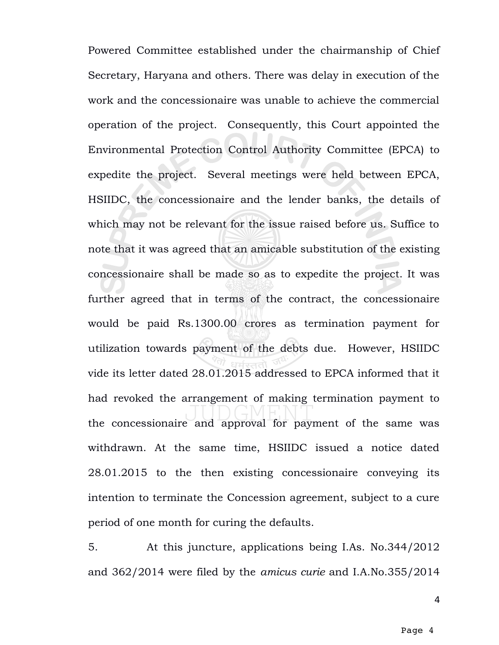Powered Committee established under the chairmanship of Chief Secretary, Haryana and others. There was delay in execution of the work and the concessionaire was unable to achieve the commercial operation of the project. Consequently, this Court appointed the Environmental Protection Control Authority Committee (EPCA) to expedite the project. Several meetings were held between EPCA, HSIIDC, the concessionaire and the lender banks, the details of which may not be relevant for the issue raised before us. Suffice to note that it was agreed that an amicable substitution of the existing concessionaire shall be made so as to expedite the project. It was further agreed that in terms of the contract, the concessionaire would be paid Rs.1300.00 crores as termination payment for utilization towards payment of the debts due. However, HSIIDC vide its letter dated 28.01.2015 addressed to EPCA informed that it had revoked the arrangement of making termination payment to the concessionaire and approval for payment of the same was withdrawn. At the same time, HSIIDC issued a notice dated 28.01.2015 to the then existing concessionaire conveying its intention to terminate the Concession agreement, subject to a cure period of one month for curing the defaults.

5. At this juncture, applications being I.As. No.344/2012 and 362/2014 were filed by the *amicus curie* and I.A.No.355/2014

4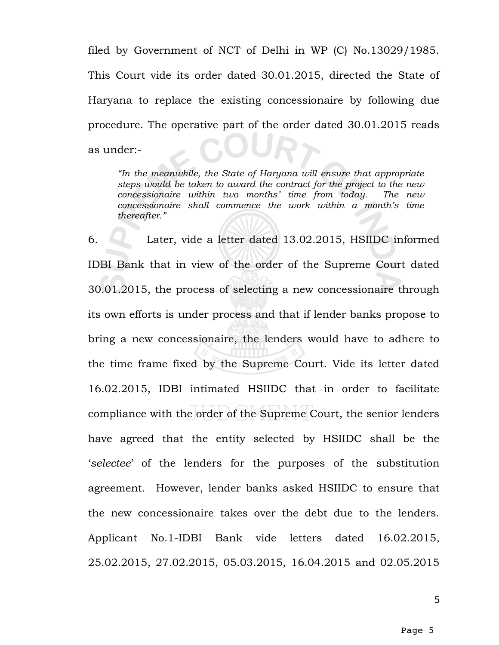filed by Government of NCT of Delhi in WP (C) No.13029/1985. This Court vide its order dated 30.01.2015, directed the State of Haryana to replace the existing concessionaire by following due procedure. The operative part of the order dated 30.01.2015 reads as under:-

*"In the meanwhile, the State of Haryana will ensure that appropriate steps would be taken to award the contract for the project to the new concessionaire within two months' time from today. The new concessionaire shall commence the work within a month's time thereafter."*

6. Later, vide a letter dated 13.02.2015, HSIIDC informed IDBI Bank that in view of the order of the Supreme Court dated 30.01.2015, the process of selecting a new concessionaire through its own efforts is under process and that if lender banks propose to bring a new concessionaire, the lenders would have to adhere to the time frame fixed by the Supreme Court. Vide its letter dated 16.02.2015, IDBI intimated HSIIDC that in order to facilitate compliance with the order of the Supreme Court, the senior lenders have agreed that the entity selected by HSIIDC shall be the '*selectee*' of the lenders for the purposes of the substitution agreement. However, lender banks asked HSIIDC to ensure that the new concessionaire takes over the debt due to the lenders. Applicant No.1-IDBI Bank vide letters dated 16.02.2015, 25.02.2015, 27.02.2015, 05.03.2015, 16.04.2015 and 02.05.2015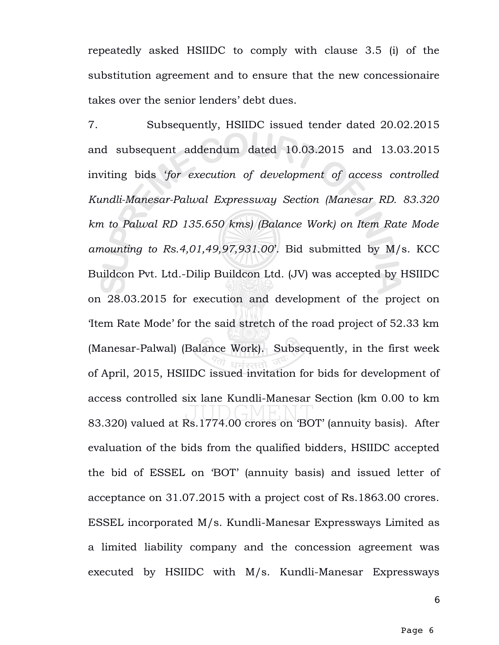repeatedly asked HSIIDC to comply with clause 3.5 (i) of the substitution agreement and to ensure that the new concessionaire takes over the senior lenders' debt dues.

7. Subsequently, HSIIDC issued tender dated 20.02.2015 and subsequent addendum dated 10.03.2015 and 13.03.2015 inviting bids '*for execution of development of access controlled Kundli-Manesar-Palwal Expressway Section (Manesar RD. 83.320 km to Palwal RD 135.650 kms) (Balance Work) on Item Rate Mode amounting to Rs.4,01,49,97,931.00*'. Bid submitted by M/s. KCC Buildcon Pvt. Ltd.-Dilip Buildcon Ltd. (JV) was accepted by HSIIDC on 28.03.2015 for execution and development of the project on 'Item Rate Mode' for the said stretch of the road project of 52.33 km (Manesar-Palwal) (Balance Work). Subsequently, in the first week of April, 2015, HSIIDC issued invitation for bids for development of access controlled six lane Kundli-Manesar Section (km 0.00 to km 83.320) valued at Rs.1774.00 crores on 'BOT' (annuity basis). After evaluation of the bids from the qualified bidders, HSIIDC accepted the bid of ESSEL on 'BOT' (annuity basis) and issued letter of acceptance on 31.07.2015 with a project cost of Rs.1863.00 crores. ESSEL incorporated M/s. Kundli-Manesar Expressways Limited as a limited liability company and the concession agreement was executed by HSIIDC with M/s. Kundli-Manesar Expressways

6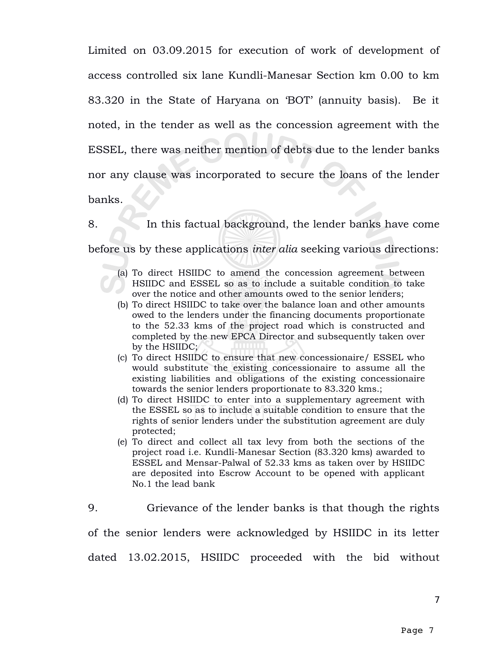Limited on 03.09.2015 for execution of work of development of access controlled six lane Kundli-Manesar Section km 0.00 to km 83.320 in the State of Haryana on 'BOT' (annuity basis). Be it noted, in the tender as well as the concession agreement with the ESSEL, there was neither mention of debts due to the lender banks nor any clause was incorporated to secure the loans of the lender banks.

8. In this factual background, the lender banks have come before us by these applications *inter alia* seeking various directions:

- (a) To direct HSIIDC to amend the concession agreement between HSIIDC and ESSEL so as to include a suitable condition to take over the notice and other amounts owed to the senior lenders;
- (b) To direct HSIIDC to take over the balance loan and other amounts owed to the lenders under the financing documents proportionate to the 52.33 kms of the project road which is constructed and completed by the new EPCA Director and subsequently taken over by the HSIIDC;
- (c) To direct HSIIDC to ensure that new concessionaire/ ESSEL who would substitute the existing concessionaire to assume all the existing liabilities and obligations of the existing concessionaire towards the senior lenders proportionate to 83.320 kms.;
- (d) To direct HSIIDC to enter into a supplementary agreement with the ESSEL so as to include a suitable condition to ensure that the rights of senior lenders under the substitution agreement are duly protected;
- (e) To direct and collect all tax levy from both the sections of the project road i.e. Kundli-Manesar Section (83.320 kms) awarded to ESSEL and Mensar-Palwal of 52.33 kms as taken over by HSIIDC are deposited into Escrow Account to be opened with applicant No.1 the lead bank

9. Grievance of the lender banks is that though the rights of the senior lenders were acknowledged by HSIIDC in its letter dated 13.02.2015, HSIIDC proceeded with the bid without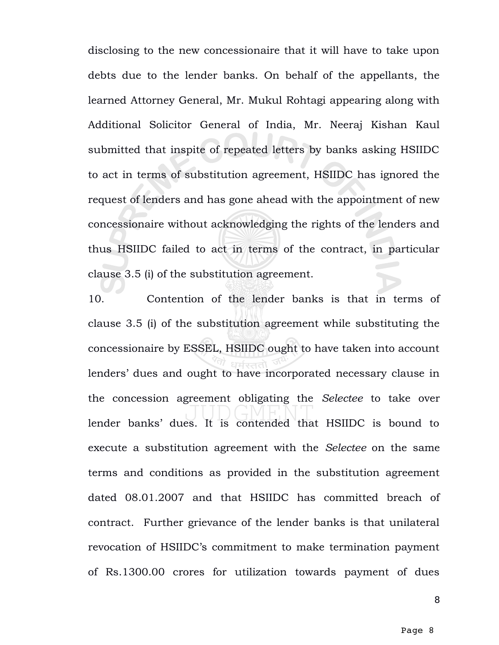disclosing to the new concessionaire that it will have to take upon debts due to the lender banks. On behalf of the appellants, the learned Attorney General, Mr. Mukul Rohtagi appearing along with Additional Solicitor General of India, Mr. Neeraj Kishan Kaul submitted that inspite of repeated letters by banks asking HSIIDC to act in terms of substitution agreement, HSIIDC has ignored the request of lenders and has gone ahead with the appointment of new concessionaire without acknowledging the rights of the lenders and thus HSIIDC failed to act in terms of the contract, in particular clause 3.5 (i) of the substitution agreement.

10. Contention of the lender banks is that in terms of clause 3.5 (i) of the substitution agreement while substituting the concessionaire by ESSEL, HSIIDC ought to have taken into account lenders' dues and ought to have incorporated necessary clause in the concession agreement obligating the *Selectee* to take over lender banks' dues. It is contended that HSIIDC is bound to execute a substitution agreement with the *Selectee* on the same terms and conditions as provided in the substitution agreement dated 08.01.2007 and that HSIIDC has committed breach of contract. Further grievance of the lender banks is that unilateral revocation of HSIIDC's commitment to make termination payment of Rs.1300.00 crores for utilization towards payment of dues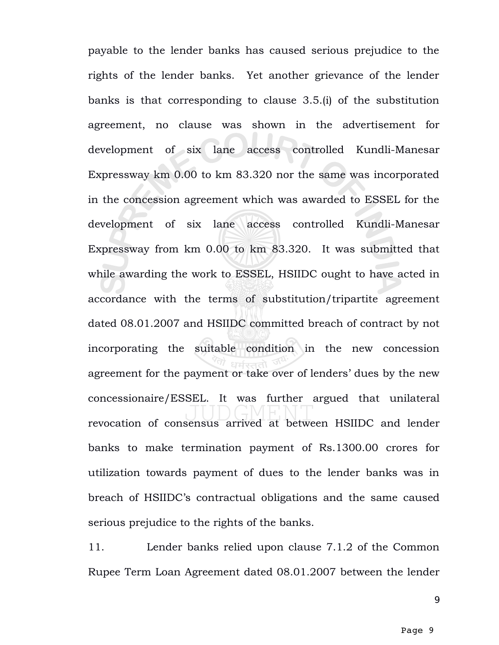payable to the lender banks has caused serious prejudice to the rights of the lender banks. Yet another grievance of the lender banks is that corresponding to clause 3.5.(i) of the substitution agreement, no clause was shown in the advertisement for development of six lane access controlled Kundli-Manesar Expressway km 0.00 to km 83.320 nor the same was incorporated in the concession agreement which was awarded to ESSEL for the development of six lane access controlled Kundli-Manesar Expressway from km 0.00 to km 83.320. It was submitted that while awarding the work to ESSEL, HSIIDC ought to have acted in accordance with the terms of substitution/tripartite agreement dated 08.01.2007 and HSIIDC committed breach of contract by not incorporating the suitable condition in the new concession agreement for the payment or take over of lenders' dues by the new concessionaire/ESSEL. It was further argued that unilateral revocation of consensus arrived at between HSIIDC and lender banks to make termination payment of Rs.1300.00 crores for utilization towards payment of dues to the lender banks was in breach of HSIIDC's contractual obligations and the same caused serious prejudice to the rights of the banks.

11. Lender banks relied upon clause 7.1.2 of the Common Rupee Term Loan Agreement dated 08.01.2007 between the lender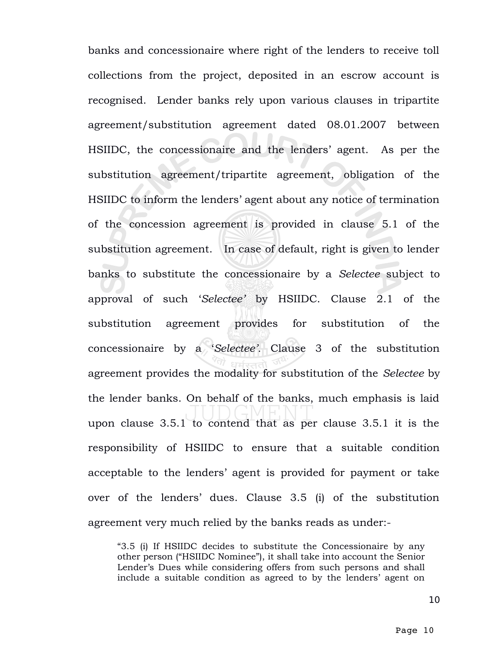banks and concessionaire where right of the lenders to receive toll collections from the project, deposited in an escrow account is recognised. Lender banks rely upon various clauses in tripartite agreement/substitution agreement dated 08.01.2007 between HSIIDC, the concessionaire and the lenders' agent. As per the substitution agreement/tripartite agreement, obligation of the HSIIDC to inform the lenders' agent about any notice of termination of the concession agreement is provided in clause 5.1 of the substitution agreement. In case of default, right is given to lender banks to substitute the concessionaire by a *Selectee* subject to approval of such '*Selectee'* by HSIIDC. Clause 2.1 of the substitution agreement provides for substitution of the concessionaire by a '*Selectee'.* Clause 3 of the substitution agreement provides the modality for substitution of the *Selectee* by the lender banks. On behalf of the banks, much emphasis is laid upon clause 3.5.1 to contend that as per clause 3.5.1 it is the responsibility of HSIIDC to ensure that a suitable condition acceptable to the lenders' agent is provided for payment or take over of the lenders' dues. Clause 3.5 (i) of the substitution agreement very much relied by the banks reads as under:-

"3.5 (i) If HSIIDC decides to substitute the Concessionaire by any other person ("HSIIDC Nominee"), it shall take into account the Senior Lender's Dues while considering offers from such persons and shall include a suitable condition as agreed to by the lenders' agent on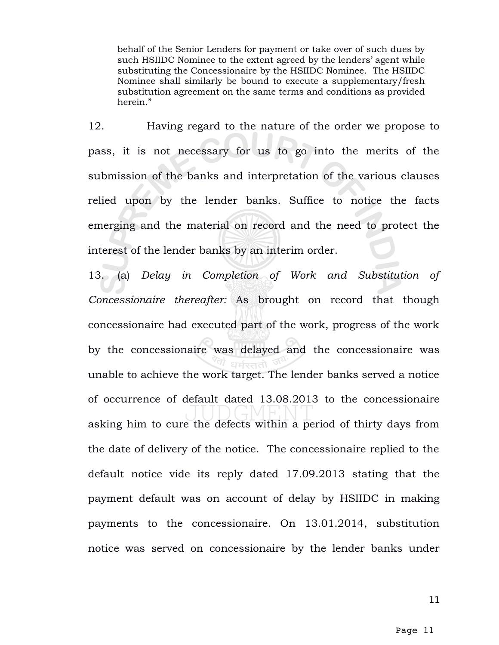behalf of the Senior Lenders for payment or take over of such dues by such HSIIDC Nominee to the extent agreed by the lenders' agent while substituting the Concessionaire by the HSIIDC Nominee. The HSIIDC Nominee shall similarly be bound to execute a supplementary/fresh substitution agreement on the same terms and conditions as provided herein."

12. Having regard to the nature of the order we propose to pass, it is not necessary for us to go into the merits of the submission of the banks and interpretation of the various clauses relied upon by the lender banks. Suffice to notice the facts emerging and the material on record and the need to protect the interest of the lender banks by an interim order.

13. (a) *Delay in Completion of Work and Substitution of Concessionaire thereafter:* As brought on record that though concessionaire had executed part of the work, progress of the work by the concessionaire was delayed and the concessionaire was unable to achieve the work target. The lender banks served a notice of occurrence of default dated 13.08.2013 to the concessionaire asking him to cure the defects within a period of thirty days from the date of delivery of the notice. The concessionaire replied to the default notice vide its reply dated 17.09.2013 stating that the payment default was on account of delay by HSIIDC in making payments to the concessionaire. On 13.01.2014, substitution notice was served on concessionaire by the lender banks under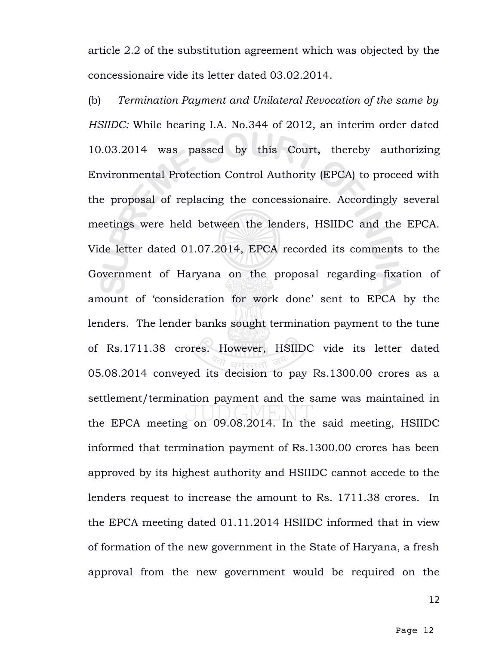article 2.2 of the substitution agreement which was objected by the concessionaire vide its letter dated 03.02.2014.

(b) *Termination Payment and Unilateral Revocation of the same by HSIIDC:* While hearing I.A. No.344 of 2012, an interim order dated 10.03.2014 was passed by this Court, thereby authorizing Environmental Protection Control Authority (EPCA) to proceed with the proposal of replacing the concessionaire. Accordingly several meetings were held between the lenders, HSIIDC and the EPCA. Vide letter dated 01.07.2014, EPCA recorded its comments to the Government of Haryana on the proposal regarding fixation of amount of 'consideration for work done' sent to EPCA by the lenders. The lender banks sought termination payment to the tune of Rs.1711.38 crores. However, HSIIDC vide its letter dated 05.08.2014 conveyed its decision to pay Rs.1300.00 crores as a settlement/termination payment and the same was maintained in the EPCA meeting on 09.08.2014. In the said meeting, HSIIDC informed that termination payment of Rs.1300.00 crores has been approved by its highest authority and HSIIDC cannot accede to the lenders request to increase the amount to Rs. 1711.38 crores. In the EPCA meeting dated 01.11.2014 HSIIDC informed that in view of formation of the new government in the State of Haryana, a fresh approval from the new government would be required on the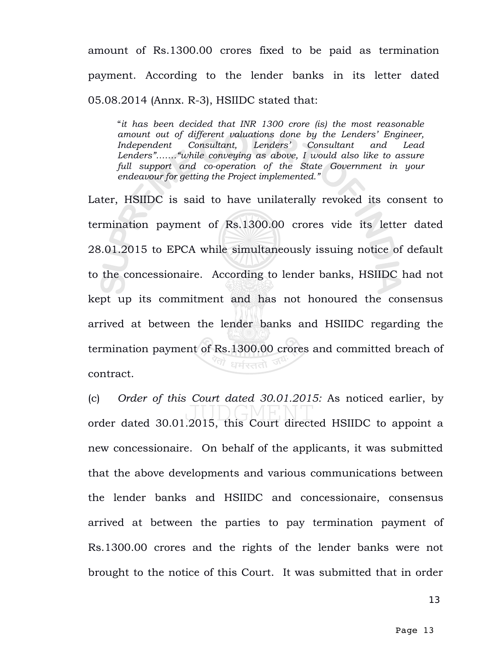amount of Rs.1300.00 crores fixed to be paid as termination payment. According to the lender banks in its letter dated 05.08.2014 (Annx. R-3), HSIIDC stated that:

"*it has been decided that INR 1300 crore (is) the most reasonable amount out of different valuations done by the Lenders' Engineer, Independent Consultant, Lenders' Consultant and Lead Lenders"……."while conveying as above, I would also like to assure full support and co-operation of the State Government in your endeavour for getting the Project implemented."*

Later, HSIIDC is said to have unilaterally revoked its consent to termination payment of Rs.1300.00 crores vide its letter dated 28.01.2015 to EPCA while simultaneously issuing notice of default to the concessionaire. According to lender banks, HSIIDC had not kept up its commitment and has not honoured the consensus arrived at between the lender banks and HSIIDC regarding the termination payment of Rs.1300.00 crores and committed breach of  $^\sigma$ धर्मस्ततो contract.

(c) *Order of this Court dated 30.01.2015:* As noticed earlier, by order dated 30.01.2015, this Court directed HSIIDC to appoint a new concessionaire. On behalf of the applicants, it was submitted that the above developments and various communications between the lender banks and HSIIDC and concessionaire, consensus arrived at between the parties to pay termination payment of Rs.1300.00 crores and the rights of the lender banks were not brought to the notice of this Court. It was submitted that in order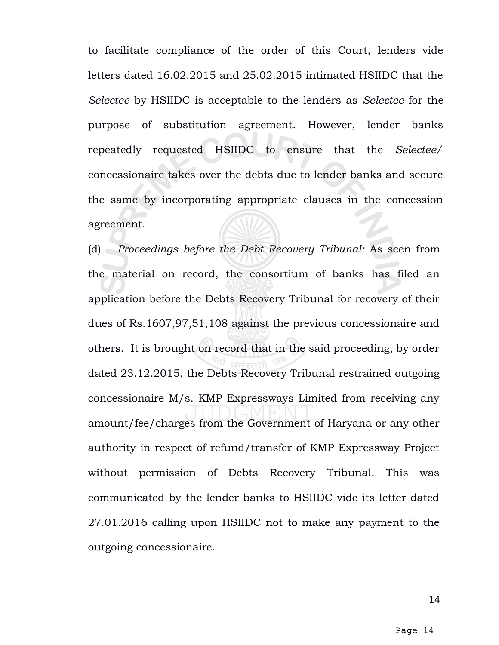to facilitate compliance of the order of this Court, lenders vide letters dated 16.02.2015 and 25.02.2015 intimated HSIIDC that the *Selectee* by HSIIDC is acceptable to the lenders as *Selectee* for the purpose of substitution agreement. However, lender banks repeatedly requested HSIIDC to ensure that the *Selectee/* concessionaire takes over the debts due to lender banks and secure the same by incorporating appropriate clauses in the concession agreement.

(d) *Proceedings before the Debt Recovery Tribunal:* As seen from the material on record, the consortium of banks has filed an application before the Debts Recovery Tribunal for recovery of their dues of Rs.1607,97,51,108 against the previous concessionaire and others. It is brought on record that in the said proceeding, by order dated 23.12.2015, the Debts Recovery Tribunal restrained outgoing concessionaire M/s. KMP Expressways Limited from receiving any amount/fee/charges from the Government of Haryana or any other authority in respect of refund/transfer of KMP Expressway Project without permission of Debts Recovery Tribunal. This was communicated by the lender banks to HSIIDC vide its letter dated 27.01.2016 calling upon HSIIDC not to make any payment to the outgoing concessionaire.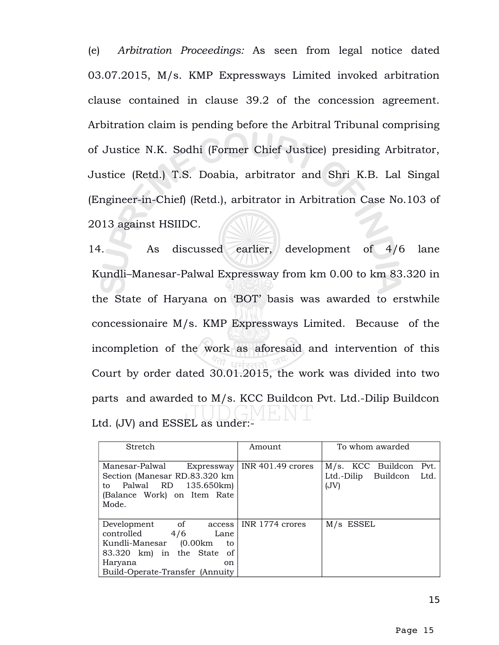(e) *Arbitration Proceedings:* As seen from legal notice dated 03.07.2015, M/s. KMP Expressways Limited invoked arbitration clause contained in clause 39.2 of the concession agreement. Arbitration claim is pending before the Arbitral Tribunal comprising of Justice N.K. Sodhi (Former Chief Justice) presiding Arbitrator, Justice (Retd.) T.S. Doabia, arbitrator and Shri K.B. Lal Singal (Engineer-in-Chief) (Retd.), arbitrator in Arbitration Case No.103 of 2013 against HSIIDC.

14. As discussed earlier, development of 4/6 lane Kundli–Manesar-Palwal Expressway from km 0.00 to km 83.320 in the State of Haryana on 'BOT' basis was awarded to erstwhile concessionaire M/s. KMP Expressways Limited. Because of the incompletion of the work as aforesaid and intervention of this Court by order dated 30.01.2015, the work was divided into two parts and awarded to M/s. KCC Buildcon Pvt. Ltd.-Dilip Buildcon Ltd. (JV) and ESSEL as under:-

| Stretch                                                                                                                                                                   | Amount                         | To whom awarded                                                  |
|---------------------------------------------------------------------------------------------------------------------------------------------------------------------------|--------------------------------|------------------------------------------------------------------|
| Manesar-Palwal<br>Section (Manesar RD.83.320 km<br>to Palwal RD 135.650km)<br>(Balance Work) on Item Rate<br>Mode.                                                        | Expressway   INR 401.49 crores | M/s. KCC Buildcon<br>Pvt.<br>Ltd.-Dilip Buildcon<br>Ltd.<br>(JV) |
| Development of<br>access<br>controlled<br>4/6<br>Lane<br>Kundli-Manesar (0.00km)<br>to<br>83.320 km) in the State of<br>Haryana<br>on<br>Build-Operate-Transfer (Annuity) | INR 1774 crores                | $M/s$ ESSEL                                                      |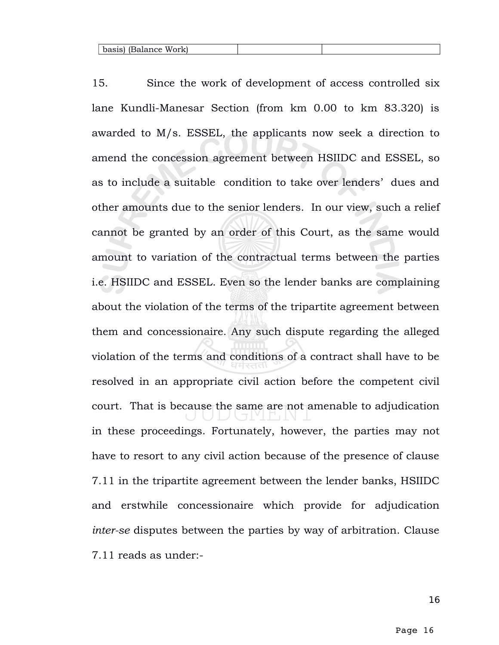15. Since the work of development of access controlled six lane Kundli-Manesar Section (from km 0.00 to km 83.320) is awarded to M/s. ESSEL, the applicants now seek a direction to amend the concession agreement between HSIIDC and ESSEL, so as to include a suitable condition to take over lenders' dues and other amounts due to the senior lenders. In our view, such a relief cannot be granted by an order of this Court, as the same would amount to variation of the contractual terms between the parties i.e. HSIIDC and ESSEL. Even so the lender banks are complaining about the violation of the terms of the tripartite agreement between them and concessionaire. Any such dispute regarding the alleged violation of the terms and conditions of a contract shall have to be resolved in an appropriate civil action before the competent civil court. That is because the same are not amenable to adjudication in these proceedings. Fortunately, however, the parties may not have to resort to any civil action because of the presence of clause 7.11 in the tripartite agreement between the lender banks, HSIIDC and erstwhile concessionaire which provide for adjudication *inter-se* disputes between the parties by way of arbitration. Clause 7.11 reads as under:-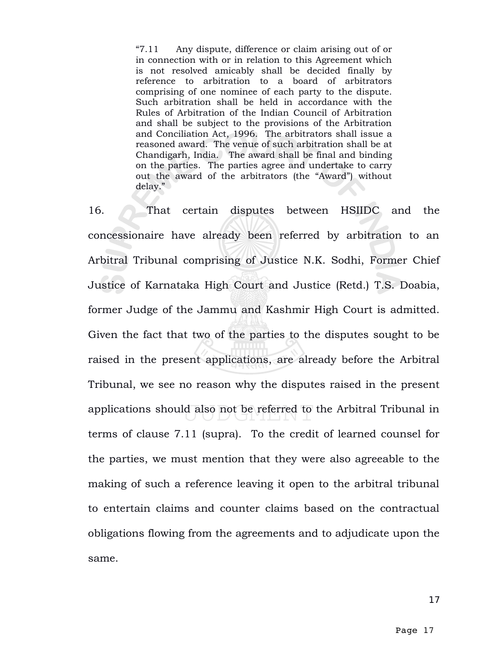"7.11 Any dispute, difference or claim arising out of or in connection with or in relation to this Agreement which is not resolved amicably shall be decided finally by reference to arbitration to a board of arbitrators comprising of one nominee of each party to the dispute. Such arbitration shall be held in accordance with the Rules of Arbitration of the Indian Council of Arbitration and shall be subject to the provisions of the Arbitration and Conciliation Act, 1996. The arbitrators shall issue a reasoned award. The venue of such arbitration shall be at Chandigarh, India. The award shall be final and binding on the parties. The parties agree and undertake to carry out the award of the arbitrators (the "Award") without delay."

16. That certain disputes between HSIIDC and the concessionaire have already been referred by arbitration to an Arbitral Tribunal comprising of Justice N.K. Sodhi, Former Chief Justice of Karnataka High Court and Justice (Retd.) T.S. Doabia, former Judge of the Jammu and Kashmir High Court is admitted. Given the fact that two of the parties to the disputes sought to be raised in the present applications, are already before the Arbitral Tribunal, we see no reason why the disputes raised in the present applications should also not be referred to the Arbitral Tribunal in terms of clause 7.11 (supra). To the credit of learned counsel for the parties, we must mention that they were also agreeable to the making of such a reference leaving it open to the arbitral tribunal to entertain claims and counter claims based on the contractual obligations flowing from the agreements and to adjudicate upon the same.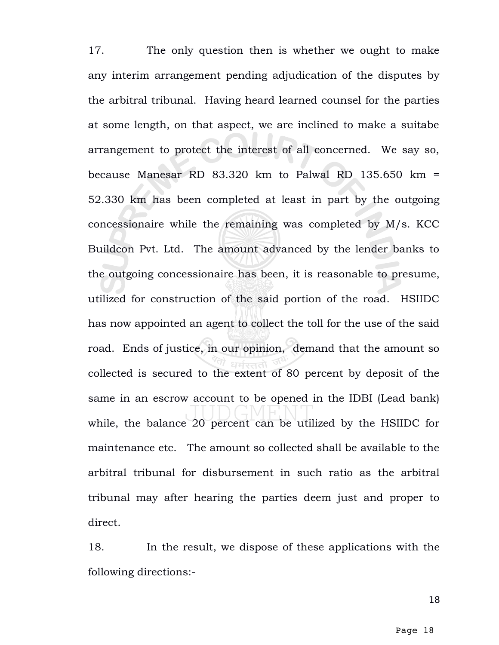17. The only question then is whether we ought to make any interim arrangement pending adjudication of the disputes by the arbitral tribunal. Having heard learned counsel for the parties at some length, on that aspect, we are inclined to make a suitabe arrangement to protect the interest of all concerned. We say so, because Manesar RD 83.320 km to Palwal RD 135.650 km = 52.330 km has been completed at least in part by the outgoing concessionaire while the remaining was completed by M/s. KCC Buildcon Pvt. Ltd. The amount advanced by the lender banks to the outgoing concessionaire has been, it is reasonable to presume, utilized for construction of the said portion of the road. HSIIDC has now appointed an agent to collect the toll for the use of the said road. Ends of justice, in our opinion, demand that the amount so collected is secured to the extent of 80 percent by deposit of the same in an escrow account to be opened in the IDBI (Lead bank) while, the balance 20 percent can be utilized by the HSIIDC for maintenance etc. The amount so collected shall be available to the arbitral tribunal for disbursement in such ratio as the arbitral tribunal may after hearing the parties deem just and proper to direct.

18. In the result, we dispose of these applications with the following directions:-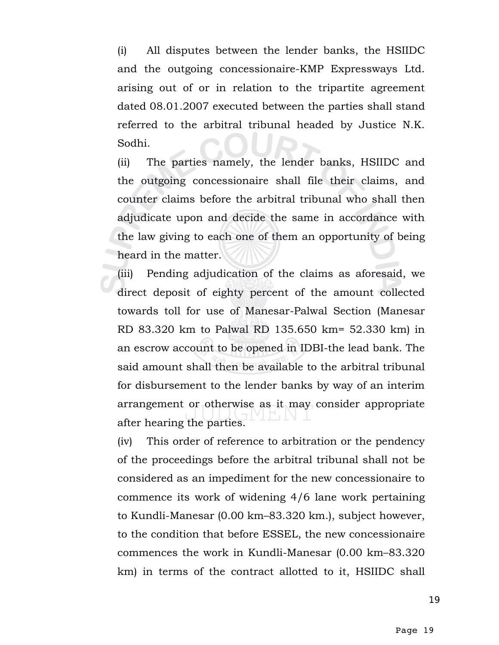(i) All disputes between the lender banks, the HSIIDC and the outgoing concessionaire-KMP Expressways Ltd. arising out of or in relation to the tripartite agreement dated 08.01.2007 executed between the parties shall stand referred to the arbitral tribunal headed by Justice N.K. Sodhi.

(ii) The parties namely, the lender banks, HSIIDC and the outgoing concessionaire shall file their claims, and counter claims before the arbitral tribunal who shall then adjudicate upon and decide the same in accordance with the law giving to each one of them an opportunity of being heard in the matter.

(iii) Pending adjudication of the claims as aforesaid, we direct deposit of eighty percent of the amount collected towards toll for use of Manesar-Palwal Section (Manesar RD 83.320 km to Palwal RD 135.650 km= 52.330 km) in an escrow account to be opened in IDBI-the lead bank. The said amount shall then be available to the arbitral tribunal for disbursement to the lender banks by way of an interim arrangement or otherwise as it may consider appropriate after hearing the parties.

(iv) This order of reference to arbitration or the pendency of the proceedings before the arbitral tribunal shall not be considered as an impediment for the new concessionaire to commence its work of widening 4/6 lane work pertaining to Kundli-Manesar (0.00 km–83.320 km.), subject however, to the condition that before ESSEL, the new concessionaire commences the work in Kundli-Manesar (0.00 km–83.320 km) in terms of the contract allotted to it, HSIIDC shall